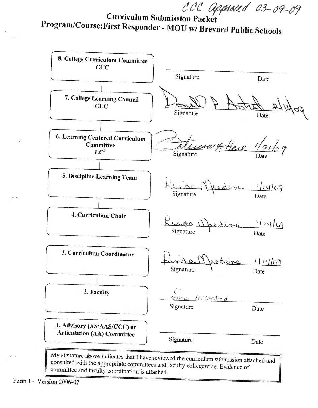CCC approved 03-09-09

Curriculum Submission Packet Program/Course:First Responder - MOU w/ Brevard Public Schools



Form 1 - Version 2006-07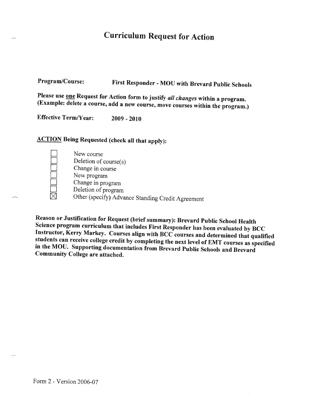## Curriculum Request for Action

Program/Course: First Responder - MOU with Brevard Public Schools

Please use one Request for Action form to justify *all changes* within a program. (Example: delete a course, add a new course, move courses within the program.)

Effective Term/Year: 2009 - <sup>2010</sup>

## ACTION Being Requested (check all that apply):

New course Deletion of course $(s)$ Change in course New program Change in program Deletion of program Other (specify) Advance Standing Credit Agreement

Reason or Justification for Request (brief summary): Brevard Public School Health Science program curriculum that includes First Responder has been evaluated by BCC Instructor, Kerry Markey. Courses align with BCC courses and determined that qualified students can receive college credit by completing the next level of EMT courses as specified in the MOU. Supporting documentation from Brevard Public Schools and Brevard Community College are attached.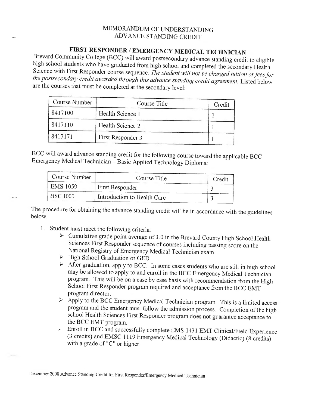## MEMORANDUM OF UNDERSTANDING ADVANCE STANDING CREDIT

## FIRST RESPONDER / EMERGENCY MEDICAL TECHNICIAN

Brevard Community College (BCC) will award postsecondary advance standing credit to eligible high school students who have graduated from high school and completed the secondary Health Science with First Responder course sequence. *The student will not be charged tuition or fees for the postsecondary credit awarded through th;s advance standing credit agreement.* Listed below are the courses that must be completed at the secondary level:

| Course Number | Course Title      | Credit |
|---------------|-------------------|--------|
| 8417100       | Health Science 1  |        |
| 8417110       | Health Science 2  |        |
| 8417171       | First Responder 3 |        |

BCC will award advance standing credit for the following course toward the applicable BCC Emergency Medical Technician - Basic Applied Technology Diploma:

| Course Number   | Course Title                | Credit |
|-----------------|-----------------------------|--------|
| <b>EMS</b> 1059 | First Responder             |        |
| <b>HSC</b> 1000 | Introduction to Health Care |        |

The procedure for obtaining the advance standing credit will be in accordance with the guidelines below

- 1. Student must meet the following criteria:
	- *Y* Cumulative grade point average of 3.0 in the Brevard County High School Health Sciences First Responder sequence of courses including passing score on the National Registry of Emergency Medical Technician exam.
	- *Y* High School Graduation or GED
	- <sup>~</sup>After graduation, apply to BCC. In some cases students who are still in high school may be allowed to apply to and enroll in the BCC Emergency Medical Technician program. This will be on a case by case basis with recommendation from the High School First Responder program required and acceptance from the BCC EMT program director.
	- $\geq$  Apply to the BCC Emergency Medical Technician program. This is a limited access program and the student must follow the admission process. Completion of the high school Health Sciences First Responder program does not guarantee acceptance to the BCC EMT program.
	- Enroll in BCC and successfully complete EMS <sup>1431</sup>EMT Clinical/Field Experience (3 credits) and EMSC 1119 Emergency Medical Technology (Didactic) (8 credits) with a grade of "C" or higher.